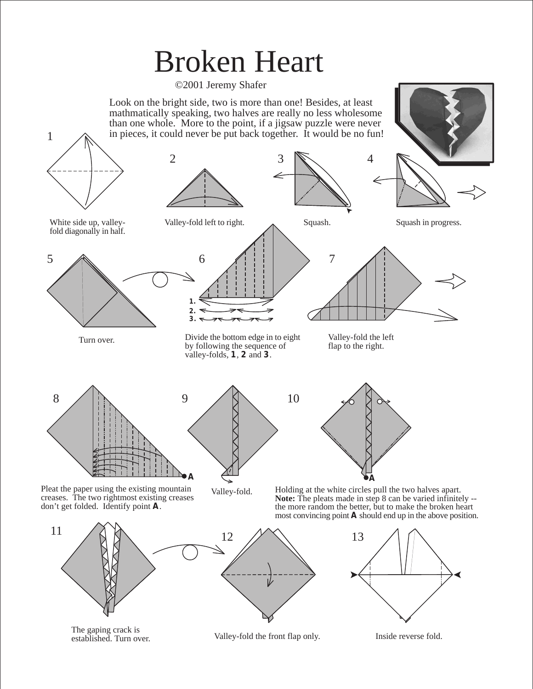## Broken Heart

©2001 Jeremy Shafer